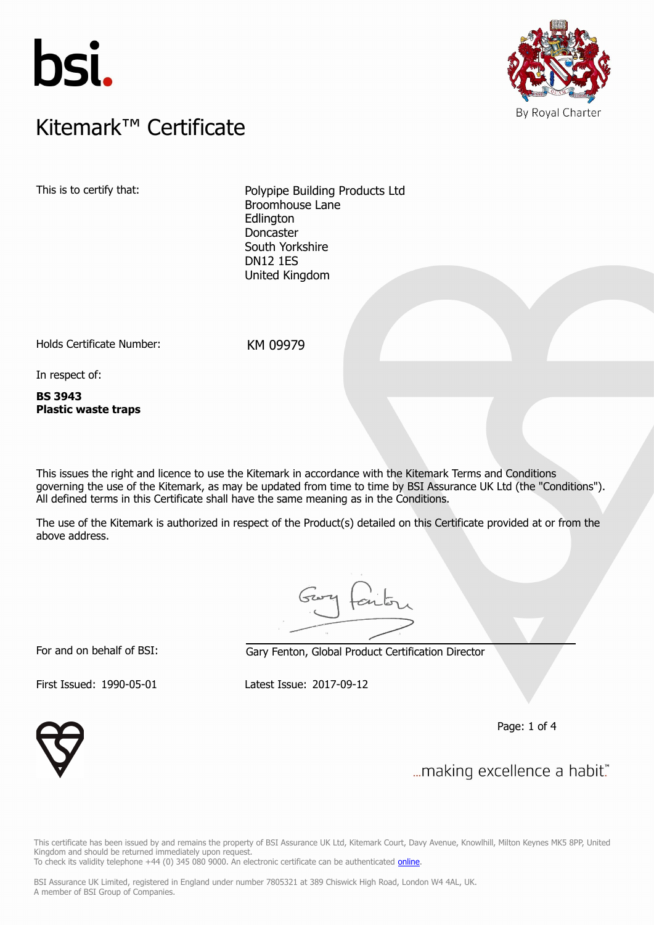



### $K$ itemark $W$  Certificate Kitemark™ Certificate

This is to certify that: Polypipe Building Products Ltd Broomhouse Lane **Edlington** Doncaster South Yorkshire DN12 1ES United Kingdom

Holds Certificate Number: KM 09979

In respect of:

**BS 3943 Plastic waste traps**

This issues the right and licence to use the Kitemark in accordance with the Kitemark Terms and Conditions governing the use of the Kitemark, as may be updated from time to time by BSI Assurance UK Ltd (the "Conditions"). All defined terms in this Certificate shall have the same meaning as in the Conditions.

The use of the Kitemark is authorized in respect of the Product(s) detailed on this Certificate provided at or from the above address.

For and on behalf of BSI: Gary Fenton, Global Product Certification Director

First Issued: 1990-05-01 Latest Issue: 2017-09-12

Page: 1 of 4



... making excellence a habit."

This certificate has been issued by and remains the property of BSI Assurance UK Ltd, Kitemark Court, Davy Avenue, Knowlhill, Milton Keynes MK5 8PP, United Kingdom and should be returned immediately upon request. To check its validity telephone +44 (0) 345 080 9000. An electronic certificate can be authenticated *[online](https://pgplus.bsigroup.com/CertificateValidation/CertificateValidator.aspx?CertificateNumber=KM+09979&ReIssueDate=12%2f09%2f2017&Template=uk)*.

BSI Assurance UK Limited, registered in England under number 7805321 at 389 Chiswick High Road, London W4 4AL, UK. A member of BSI Group of Companies.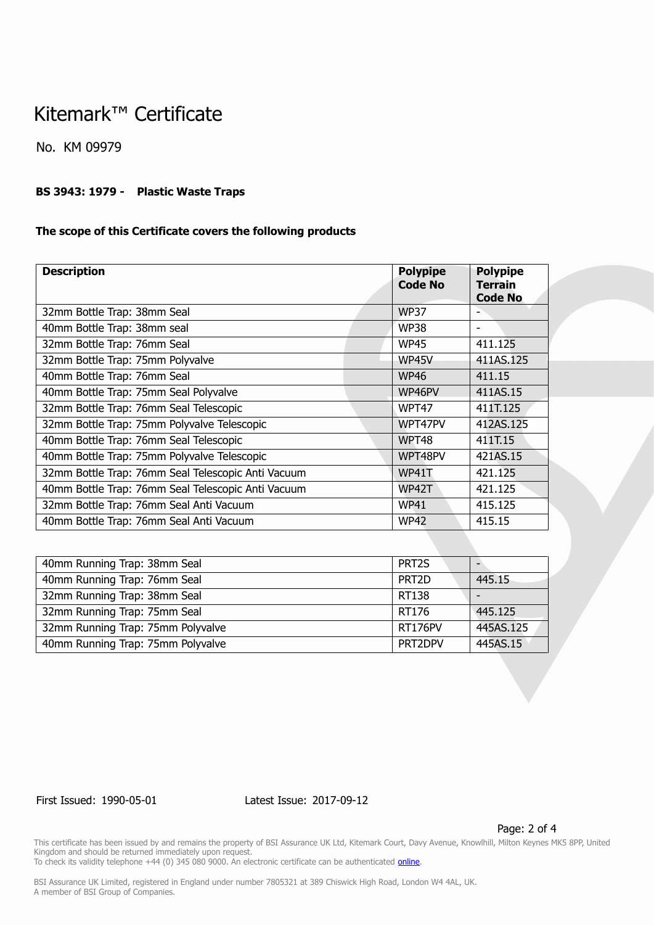## Kitemark™ Certificate

No. KM 09979

#### **BS 3943: 1979 - Plastic Waste Traps**

#### **The scope of this Certificate covers the following products**

| <b>Polypipe</b><br><b>Code No</b> | <b>Polypipe</b><br><b>Terrain</b><br><b>Code No</b> |
|-----------------------------------|-----------------------------------------------------|
| <b>WP37</b>                       |                                                     |
| <b>WP38</b>                       |                                                     |
| <b>WP45</b>                       | 411.125                                             |
| WP45V                             | 411AS.125                                           |
| <b>WP46</b>                       | 411.15                                              |
| WP46PV                            | 411AS.15                                            |
| WPT47                             | 411T.125                                            |
| WPT47PV                           | 412AS.125                                           |
| WPT48                             | 411T.15                                             |
| WPT48PV                           | 421AS.15                                            |
| WP41T                             | 421.125                                             |
| WP42T                             | 421.125                                             |
| <b>WP41</b>                       | 415.125                                             |
| <b>WP42</b>                       | 415.15                                              |
|                                   |                                                     |

| 40mm Running Trap: 38mm Seal      | PRT <sub>2S</sub> |           |
|-----------------------------------|-------------------|-----------|
| 40mm Running Trap: 76mm Seal      | PRT <sub>2D</sub> | 445.15    |
| 32mm Running Trap: 38mm Seal      | RT138             |           |
| 32mm Running Trap: 75mm Seal      | RT176             | 445.125   |
| 32mm Running Trap: 75mm Polyvalve | RT176PV           | 445AS.125 |
| 40mm Running Trap: 75mm Polyvalve | PRT2DPV           | 445AS.15  |

First Issued: 1990-05-01 Latest Issue: 2017-09-12

Page: 2 of 4

This certificate has been issued by and remains the property of BSI Assurance UK Ltd, Kitemark Court, Davy Avenue, Knowlhill, Milton Keynes MK5 8PP, United Kingdom and should be returned immediately upon request.

To check its validity telephone +44 (0) 345 080 9000. An electronic certificate can be authenticated *[online](https://pgplus.bsigroup.com/CertificateValidation/CertificateValidator.aspx?CertificateNumber=KM+09979&ReIssueDate=12%2f09%2f2017&Template=uk)*.

BSI Assurance UK Limited, registered in England under number 7805321 at 389 Chiswick High Road, London W4 4AL, UK. A member of BSI Group of Companies.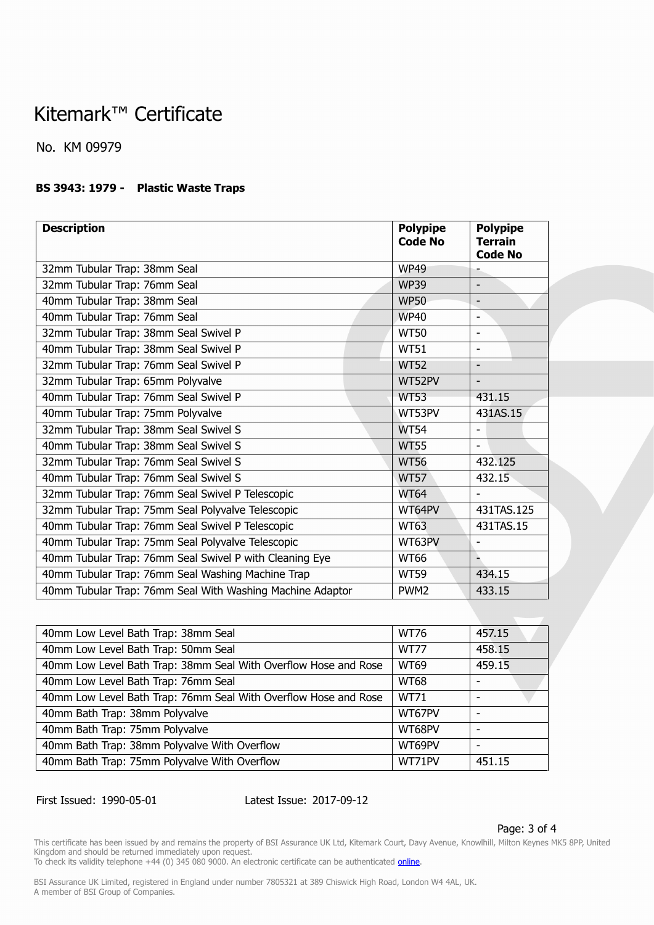# Kitemark™ Certificate

No. KM 09979

### **BS 3943: 1979 - Plastic Waste Traps**

| <b>Description</b>                                        | <b>Polypipe</b><br><b>Code No</b> | <b>Polypipe</b><br><b>Terrain</b><br><b>Code No</b> |
|-----------------------------------------------------------|-----------------------------------|-----------------------------------------------------|
| 32mm Tubular Trap: 38mm Seal                              | <b>WP49</b>                       |                                                     |
| 32mm Tubular Trap: 76mm Seal                              | <b>WP39</b>                       | $\overline{\phantom{a}}$                            |
| 40mm Tubular Trap: 38mm Seal                              | <b>WP50</b>                       |                                                     |
| 40mm Tubular Trap: 76mm Seal                              | <b>WP40</b>                       | $\overline{\phantom{a}}$                            |
| 32mm Tubular Trap: 38mm Seal Swivel P                     | <b>WT50</b>                       | $\blacksquare$                                      |
| 40mm Tubular Trap: 38mm Seal Swivel P                     | <b>WT51</b>                       | $\overline{a}$                                      |
| 32mm Tubular Trap: 76mm Seal Swivel P                     | <b>WT52</b>                       | $\overline{a}$                                      |
| 32mm Tubular Trap: 65mm Polyvalve                         | WT52PV                            |                                                     |
| 40mm Tubular Trap: 76mm Seal Swivel P                     | <b>WT53</b>                       | 431.15                                              |
| 40mm Tubular Trap: 75mm Polyvalve                         | WT53PV                            | 431AS.15                                            |
| 32mm Tubular Trap: 38mm Seal Swivel S                     | <b>WT54</b>                       | $\blacksquare$                                      |
| 40mm Tubular Trap: 38mm Seal Swivel S                     | <b>WT55</b>                       | $\blacksquare$                                      |
| 32mm Tubular Trap: 76mm Seal Swivel S                     | <b>WT56</b>                       | 432.125                                             |
| 40mm Tubular Trap: 76mm Seal Swivel S                     | <b>WT57</b>                       | 432.15                                              |
| 32mm Tubular Trap: 76mm Seal Swivel P Telescopic          | <b>WT64</b>                       |                                                     |
| 32mm Tubular Trap: 75mm Seal Polyvalve Telescopic         | WT64PV                            | 431TAS.125                                          |
| 40mm Tubular Trap: 76mm Seal Swivel P Telescopic          | <b>WT63</b>                       | 431TAS.15                                           |
| 40mm Tubular Trap: 75mm Seal Polyvalve Telescopic         | WT63PV                            |                                                     |
| 40mm Tubular Trap: 76mm Seal Swivel P with Cleaning Eye   | <b>WT66</b>                       |                                                     |
| 40mm Tubular Trap: 76mm Seal Washing Machine Trap         | <b>WT59</b>                       | 434.15                                              |
| 40mm Tubular Trap: 76mm Seal With Washing Machine Adaptor | PWM <sub>2</sub>                  | 433.15                                              |

| 40mm Low Level Bath Trap: 38mm Seal                             | <b>WT76</b> | 457.15 |
|-----------------------------------------------------------------|-------------|--------|
| 40mm Low Level Bath Trap: 50mm Seal                             | <b>WT77</b> | 458.15 |
| 40mm Low Level Bath Trap: 38mm Seal With Overflow Hose and Rose | <b>WT69</b> | 459.15 |
| 40mm Low Level Bath Trap: 76mm Seal                             | <b>WT68</b> |        |
| 40mm Low Level Bath Trap: 76mm Seal With Overflow Hose and Rose | <b>WT71</b> |        |
| 40mm Bath Trap: 38mm Polyvalve                                  | WT67PV      |        |
| 40mm Bath Trap: 75mm Polyvalve                                  | WT68PV      |        |
| 40mm Bath Trap: 38mm Polyvalve With Overflow                    | WT69PV      |        |
| 40mm Bath Trap: 75mm Polyvalve With Overflow                    | WT71PV      | 451.15 |

First Issued: 1990-05-01 Latest Issue: 2017-09-12

Page: 3 of 4

This certificate has been issued by and remains the property of BSI Assurance UK Ltd, Kitemark Court, Davy Avenue, Knowlhill, Milton Keynes MK5 8PP, United Kingdom and should be returned immediately upon request.

To check its validity telephone +44 (0) 345 080 9000. An electronic certificate can be authenticated *[online](https://pgplus.bsigroup.com/CertificateValidation/CertificateValidator.aspx?CertificateNumber=KM+09979&ReIssueDate=12%2f09%2f2017&Template=uk)*.

BSI Assurance UK Limited, registered in England under number 7805321 at 389 Chiswick High Road, London W4 4AL, UK. A member of BSI Group of Companies.